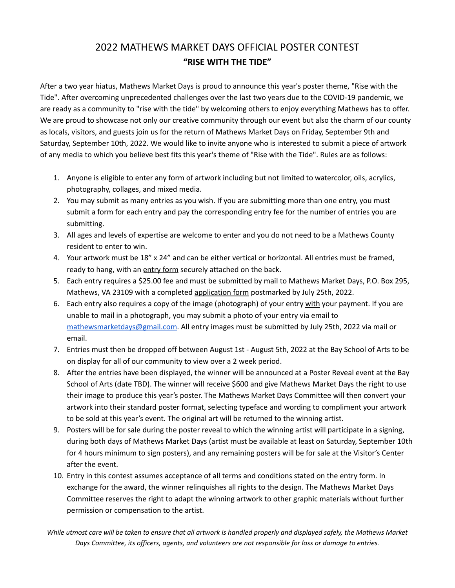## 2022 MATHEWS MARKET DAYS OFFICIAL POSTER CONTEST **"RISE WITH THE TIDE"**

After a two year hiatus, Mathews Market Days is proud to announce this year's poster theme, "Rise with the Tide". After overcoming unprecedented challenges over the last two years due to the COVID-19 pandemic, we are ready as a community to "rise with the tide" by welcoming others to enjoy everything Mathews has to offer. We are proud to showcase not only our creative community through our event but also the charm of our county as locals, visitors, and guests join us for the return of Mathews Market Days on Friday, September 9th and Saturday, September 10th, 2022. We would like to invite anyone who is interested to submit a piece of artwork of any media to which you believe best fits this year's theme of "Rise with the Tide". Rules are as follows:

- 1. Anyone is eligible to enter any form of artwork including but not limited to watercolor, oils, acrylics, photography, collages, and mixed media.
- 2. You may submit as many entries as you wish. If you are submitting more than one entry, you must submit a form for each entry and pay the corresponding entry fee for the number of entries you are submitting.
- 3. All ages and levels of expertise are welcome to enter and you do not need to be a Mathews County resident to enter to win.
- 4. Your artwork must be 18" x 24" and can be either vertical or horizontal. All entries must be framed, ready to hang, with an entry form securely attached on the back.
- 5. Each entry requires a \$25.00 fee and must be submitted by mail to Mathews Market Days, P.O. Box 295, Mathews, VA 23109 with a completed application form postmarked by July 25th, 2022.
- 6. Each entry also requires a copy of the image (photograph) of your entry with your payment. If you are unable to mail in a photograph, you may submit a photo of your entry via email to [mathewsmarketdays@gmail.com](mailto:mathewsmarketdays@gmail.com). All entry images must be submitted by July 25th, 2022 via mail or email.
- 7. Entries must then be dropped off between August 1st August 5th, 2022 at the Bay School of Arts to be on display for all of our community to view over a 2 week period.
- 8. After the entries have been displayed, the winner will be announced at a Poster Reveal event at the Bay School of Arts (date TBD). The winner will receive \$600 and give Mathews Market Days the right to use their image to produce this year's poster. The Mathews Market Days Committee will then convert your artwork into their standard poster format, selecting typeface and wording to compliment your artwork to be sold at this year's event. The original art will be returned to the winning artist.
- 9. Posters will be for sale during the poster reveal to which the winning artist will participate in a signing, during both days of Mathews Market Days (artist must be available at least on Saturday, September 10th for 4 hours minimum to sign posters), and any remaining posters will be for sale at the Visitor's Center after the event.
- 10. Entry in this contest assumes acceptance of all terms and conditions stated on the entry form. In exchange for the award, the winner relinquishes all rights to the design. The Mathews Market Days Committee reserves the right to adapt the winning artwork to other graphic materials without further permission or compensation to the artist.

While utmost care will be taken to ensure that all artwork is handled properly and displayed safely, the Mathews Market *Days Committee, its officers, agents, and volunteers are not responsible for loss or damage to entries.*